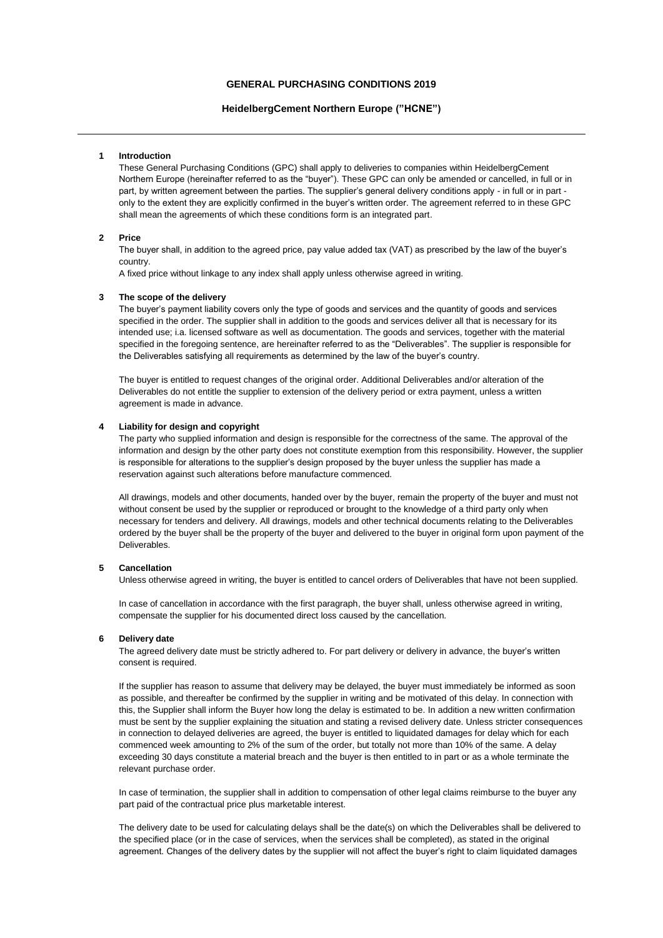## **GENERAL PURCHASING CONDITIONS 2019**

## **HeidelbergCement Northern Europe ("HCNE")**

#### **1 Introduction**

These General Purchasing Conditions (GPC) shall apply to deliveries to companies within HeidelbergCement Northern Europe (hereinafter referred to as the "buyer"). These GPC can only be amended or cancelled, in full or in part, by written agreement between the parties. The supplier's general delivery conditions apply - in full or in part only to the extent they are explicitly confirmed in the buyer's written order. The agreement referred to in these GPC shall mean the agreements of which these conditions form is an integrated part.

## **2 Price**

The buyer shall, in addition to the agreed price, pay value added tax (VAT) as prescribed by the law of the buyer's country.

A fixed price without linkage to any index shall apply unless otherwise agreed in writing.

## **3 The scope of the delivery**

The buyer's payment liability covers only the type of goods and services and the quantity of goods and services specified in the order. The supplier shall in addition to the goods and services deliver all that is necessary for its intended use; i.a. licensed software as well as documentation. The goods and services, together with the material specified in the foregoing sentence, are hereinafter referred to as the "Deliverables". The supplier is responsible for the Deliverables satisfying all requirements as determined by the law of the buyer's country.

The buyer is entitled to request changes of the original order. Additional Deliverables and/or alteration of the Deliverables do not entitle the supplier to extension of the delivery period or extra payment, unless a written agreement is made in advance.

#### **4 Liability for design and copyright**

The party who supplied information and design is responsible for the correctness of the same. The approval of the information and design by the other party does not constitute exemption from this responsibility. However, the supplier is responsible for alterations to the supplier's design proposed by the buyer unless the supplier has made a reservation against such alterations before manufacture commenced.

All drawings, models and other documents, handed over by the buyer, remain the property of the buyer and must not without consent be used by the supplier or reproduced or brought to the knowledge of a third party only when necessary for tenders and delivery. All drawings, models and other technical documents relating to the Deliverables ordered by the buyer shall be the property of the buyer and delivered to the buyer in original form upon payment of the Deliverables.

#### **5 Cancellation**

Unless otherwise agreed in writing, the buyer is entitled to cancel orders of Deliverables that have not been supplied.

In case of cancellation in accordance with the first paragraph, the buyer shall, unless otherwise agreed in writing, compensate the supplier for his documented direct loss caused by the cancellation.

### **6 Delivery date**

The agreed delivery date must be strictly adhered to. For part delivery or delivery in advance, the buyer's written consent is required.

If the supplier has reason to assume that delivery may be delayed, the buyer must immediately be informed as soon as possible, and thereafter be confirmed by the supplier in writing and be motivated of this delay. In connection with this, the Supplier shall inform the Buyer how long the delay is estimated to be. In addition a new written confirmation must be sent by the supplier explaining the situation and stating a revised delivery date. Unless stricter consequences in connection to delayed deliveries are agreed, the buyer is entitled to liquidated damages for delay which for each commenced week amounting to 2% of the sum of the order, but totally not more than 10% of the same. A delay exceeding 30 days constitute a material breach and the buyer is then entitled to in part or as a whole terminate the relevant purchase order.

In case of termination, the supplier shall in addition to compensation of other legal claims reimburse to the buyer any part paid of the contractual price plus marketable interest.

The delivery date to be used for calculating delays shall be the date(s) on which the Deliverables shall be delivered to the specified place (or in the case of services, when the services shall be completed), as stated in the original agreement. Changes of the delivery dates by the supplier will not affect the buyer's right to claim liquidated damages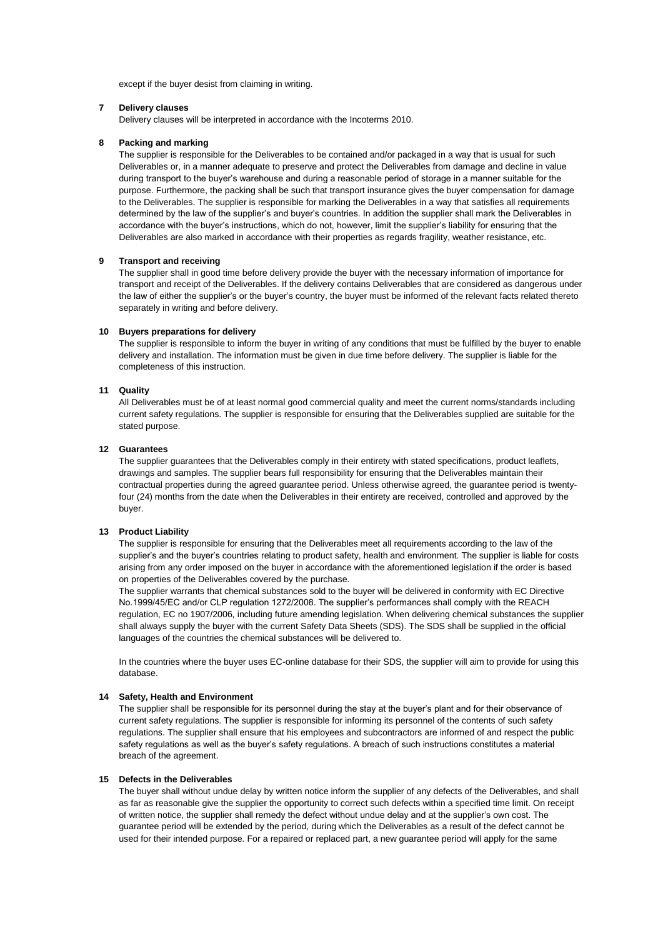except if the buyer desist from claiming in writing.

## **7 Delivery clauses**

Delivery clauses will be interpreted in accordance with the Incoterms 2010.

### **8 Packing and marking**

The supplier is responsible for the Deliverables to be contained and/or packaged in a way that is usual for such Deliverables or, in a manner adequate to preserve and protect the Deliverables from damage and decline in value during transport to the buyer's warehouse and during a reasonable period of storage in a manner suitable for the purpose. Furthermore, the packing shall be such that transport insurance gives the buyer compensation for damage to the Deliverables. The supplier is responsible for marking the Deliverables in a way that satisfies all requirements determined by the law of the supplier's and buyer's countries. In addition the supplier shall mark the Deliverables in accordance with the buyer's instructions, which do not, however, limit the supplier's liability for ensuring that the Deliverables are also marked in accordance with their properties as regards fragility, weather resistance, etc.

## **9 Transport and receiving**

The supplier shall in good time before delivery provide the buyer with the necessary information of importance for transport and receipt of the Deliverables. If the delivery contains Deliverables that are considered as dangerous under the law of either the supplier's or the buyer's country, the buyer must be informed of the relevant facts related thereto separately in writing and before delivery.

#### **10 Buyers preparations for delivery**

The supplier is responsible to inform the buyer in writing of any conditions that must be fulfilled by the buyer to enable delivery and installation. The information must be given in due time before delivery. The supplier is liable for the completeness of this instruction.

## **11 Quality**

All Deliverables must be of at least normal good commercial quality and meet the current norms/standards including current safety regulations. The supplier is responsible for ensuring that the Deliverables supplied are suitable for the stated purpose.

## **12 Guarantees**

The supplier guarantees that the Deliverables comply in their entirety with stated specifications, product leaflets, drawings and samples. The supplier bears full responsibility for ensuring that the Deliverables maintain their contractual properties during the agreed guarantee period. Unless otherwise agreed, the guarantee period is twentyfour (24) months from the date when the Deliverables in their entirety are received, controlled and approved by the buyer.

#### **13 Product Liability**

The supplier is responsible for ensuring that the Deliverables meet all requirements according to the law of the supplier's and the buyer's countries relating to product safety, health and environment. The supplier is liable for costs arising from any order imposed on the buyer in accordance with the aforementioned legislation if the order is based on properties of the Deliverables covered by the purchase.

The supplier warrants that chemical substances sold to the buyer will be delivered in conformity with EC Directive No.1999/45/EC and/or CLP regulation 1272/2008. The supplier's performances shall comply with the REACH regulation, EC no 1907/2006, including future amending legislation. When delivering chemical substances the supplier shall always supply the buyer with the current Safety Data Sheets (SDS). The SDS shall be supplied in the official languages of the countries the chemical substances will be delivered to.

In the countries where the buyer uses EC-online database for their SDS, the supplier will aim to provide for using this database.

#### **14 Safety, Health and Environment**

The supplier shall be responsible for its personnel during the stay at the buyer's plant and for their observance of current safety regulations. The supplier is responsible for informing its personnel of the contents of such safety regulations. The supplier shall ensure that his employees and subcontractors are informed of and respect the public safety regulations as well as the buyer's safety regulations. A breach of such instructions constitutes a material breach of the agreement.

## **15 Defects in the Deliverables**

The buyer shall without undue delay by written notice inform the supplier of any defects of the Deliverables, and shall as far as reasonable give the supplier the opportunity to correct such defects within a specified time limit. On receipt of written notice, the supplier shall remedy the defect without undue delay and at the supplier's own cost. The guarantee period will be extended by the period, during which the Deliverables as a result of the defect cannot be used for their intended purpose. For a repaired or replaced part, a new guarantee period will apply for the same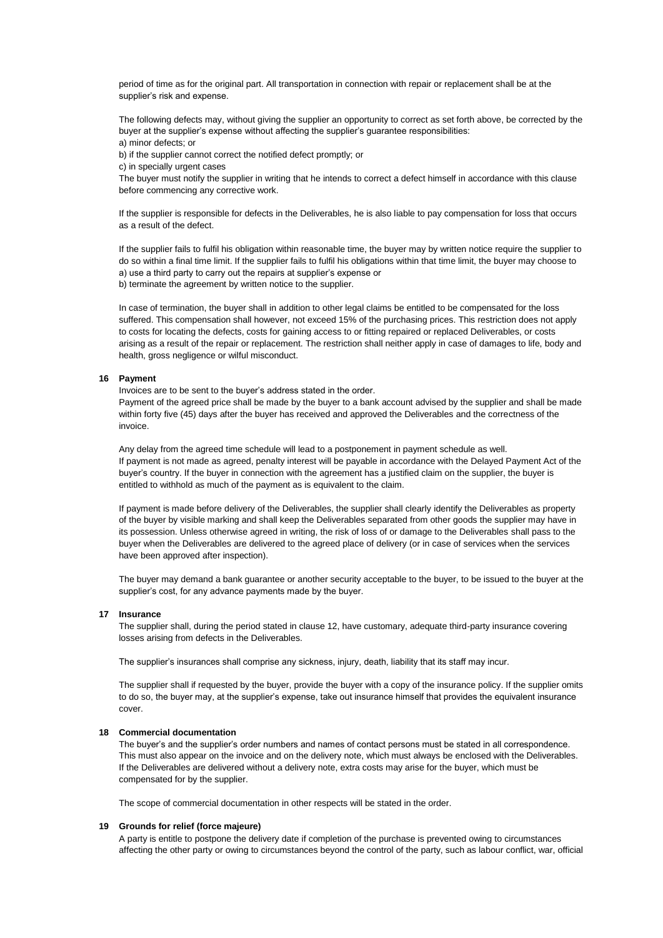period of time as for the original part. All transportation in connection with repair or replacement shall be at the supplier's risk and expense.

The following defects may, without giving the supplier an opportunity to correct as set forth above, be corrected by the buyer at the supplier's expense without affecting the supplier's guarantee responsibilities: a) minor defects; or

b) if the supplier cannot correct the notified defect promptly; or

c) in specially urgent cases

The buyer must notify the supplier in writing that he intends to correct a defect himself in accordance with this clause before commencing any corrective work.

If the supplier is responsible for defects in the Deliverables, he is also liable to pay compensation for loss that occurs as a result of the defect.

If the supplier fails to fulfil his obligation within reasonable time, the buyer may by written notice require the supplier to do so within a final time limit. If the supplier fails to fulfil his obligations within that time limit, the buyer may choose to a) use a third party to carry out the repairs at supplier's expense or

b) terminate the agreement by written notice to the supplier.

In case of termination, the buyer shall in addition to other legal claims be entitled to be compensated for the loss suffered. This compensation shall however, not exceed 15% of the purchasing prices. This restriction does not apply to costs for locating the defects, costs for gaining access to or fitting repaired or replaced Deliverables, or costs arising as a result of the repair or replacement. The restriction shall neither apply in case of damages to life, body and health, gross negligence or wilful misconduct.

#### **16 Payment**

Invoices are to be sent to the buyer's address stated in the order.

Payment of the agreed price shall be made by the buyer to a bank account advised by the supplier and shall be made within forty five (45) days after the buyer has received and approved the Deliverables and the correctness of the invoice.

Any delay from the agreed time schedule will lead to a postponement in payment schedule as well. If payment is not made as agreed, penalty interest will be payable in accordance with the Delayed Payment Act of the buyer's country. If the buyer in connection with the agreement has a justified claim on the supplier, the buyer is entitled to withhold as much of the payment as is equivalent to the claim.

If payment is made before delivery of the Deliverables, the supplier shall clearly identify the Deliverables as property of the buyer by visible marking and shall keep the Deliverables separated from other goods the supplier may have in its possession. Unless otherwise agreed in writing, the risk of loss of or damage to the Deliverables shall pass to the buyer when the Deliverables are delivered to the agreed place of delivery (or in case of services when the services have been approved after inspection).

The buyer may demand a bank guarantee or another security acceptable to the buyer, to be issued to the buyer at the supplier's cost, for any advance payments made by the buyer.

## **17 Insurance**

The supplier shall, during the period stated in clause 12, have customary, adequate third-party insurance covering losses arising from defects in the Deliverables.

The supplier's insurances shall comprise any sickness, injury, death, liability that its staff may incur.

The supplier shall if requested by the buyer, provide the buyer with a copy of the insurance policy. If the supplier omits to do so, the buyer may, at the supplier's expense, take out insurance himself that provides the equivalent insurance cover.

# **18 Commercial documentation**

The buyer's and the supplier's order numbers and names of contact persons must be stated in all correspondence. This must also appear on the invoice and on the delivery note, which must always be enclosed with the Deliverables. If the Deliverables are delivered without a delivery note, extra costs may arise for the buyer, which must be compensated for by the supplier.

The scope of commercial documentation in other respects will be stated in the order.

## **19 Grounds for relief (force majeure)**

A party is entitle to postpone the delivery date if completion of the purchase is prevented owing to circumstances affecting the other party or owing to circumstances beyond the control of the party, such as labour conflict, war, official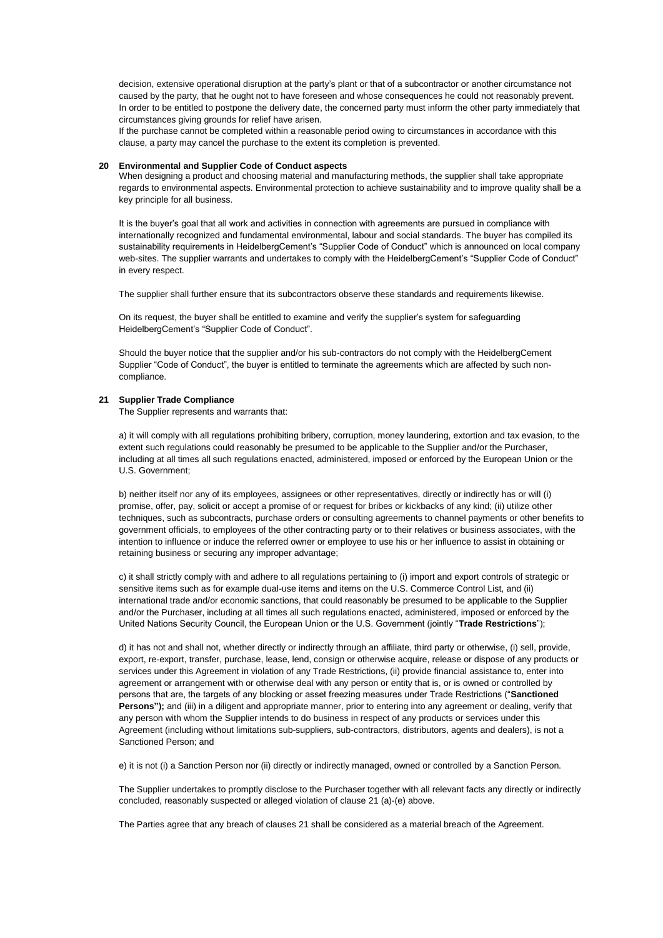decision, extensive operational disruption at the party's plant or that of a subcontractor or another circumstance not caused by the party, that he ought not to have foreseen and whose consequences he could not reasonably prevent. In order to be entitled to postpone the delivery date, the concerned party must inform the other party immediately that circumstances giving grounds for relief have arisen.

If the purchase cannot be completed within a reasonable period owing to circumstances in accordance with this clause, a party may cancel the purchase to the extent its completion is prevented.

#### **20 Environmental and Supplier Code of Conduct aspects**

When designing a product and choosing material and manufacturing methods, the supplier shall take appropriate regards to environmental aspects. Environmental protection to achieve sustainability and to improve quality shall be a key principle for all business.

It is the buyer's goal that all work and activities in connection with agreements are pursued in compliance with internationally recognized and fundamental environmental, labour and social standards. The buyer has compiled its sustainability requirements in HeidelbergCement's "Supplier Code of Conduct" which is announced on local company web-sites. The supplier warrants and undertakes to comply with the HeidelbergCement's "Supplier Code of Conduct" in every respect.

The supplier shall further ensure that its subcontractors observe these standards and requirements likewise.

On its request, the buyer shall be entitled to examine and verify the supplier's system for safeguarding HeidelbergCement's "Supplier Code of Conduct".

Should the buyer notice that the supplier and/or his sub-contractors do not comply with the HeidelbergCement Supplier "Code of Conduct", the buyer is entitled to terminate the agreements which are affected by such noncompliance.

#### **21 Supplier Trade Compliance**

The Supplier represents and warrants that:

a) it will comply with all regulations prohibiting bribery, corruption, money laundering, extortion and tax evasion, to the extent such regulations could reasonably be presumed to be applicable to the Supplier and/or the Purchaser, including at all times all such regulations enacted, administered, imposed or enforced by the European Union or the U.S. Government;

b) neither itself nor any of its employees, assignees or other representatives, directly or indirectly has or will (i) promise, offer, pay, solicit or accept a promise of or request for bribes or kickbacks of any kind; (ii) utilize other techniques, such as subcontracts, purchase orders or consulting agreements to channel payments or other benefits to government officials, to employees of the other contracting party or to their relatives or business associates, with the intention to influence or induce the referred owner or employee to use his or her influence to assist in obtaining or retaining business or securing any improper advantage;

c) it shall strictly comply with and adhere to all regulations pertaining to (i) import and export controls of strategic or sensitive items such as for example dual-use items and items on the U.S. Commerce Control List, and (ii) international trade and/or economic sanctions, that could reasonably be presumed to be applicable to the Supplier and/or the Purchaser, including at all times all such regulations enacted, administered, imposed or enforced by the United Nations Security Council, the European Union or the U.S. Government (jointly "**Trade Restrictions**");

d) it has not and shall not, whether directly or indirectly through an affiliate, third party or otherwise, (i) sell, provide, export, re-export, transfer, purchase, lease, lend, consign or otherwise acquire, release or dispose of any products or services under this Agreement in violation of any Trade Restrictions, (ii) provide financial assistance to, enter into agreement or arrangement with or otherwise deal with any person or entity that is, or is owned or controlled by persons that are, the targets of any blocking or asset freezing measures under Trade Restrictions ("**Sanctioned**  Persons"); and (iii) in a diligent and appropriate manner, prior to entering into any agreement or dealing, verify that any person with whom the Supplier intends to do business in respect of any products or services under this Agreement (including without limitations sub-suppliers, sub-contractors, distributors, agents and dealers), is not a Sanctioned Person; and

e) it is not (i) a Sanction Person nor (ii) directly or indirectly managed, owned or controlled by a Sanction Person.

The Supplier undertakes to promptly disclose to the Purchaser together with all relevant facts any directly or indirectly concluded, reasonably suspected or alleged violation of clause 21 (a)-(e) above.

The Parties agree that any breach of clauses 21 shall be considered as a material breach of the Agreement.